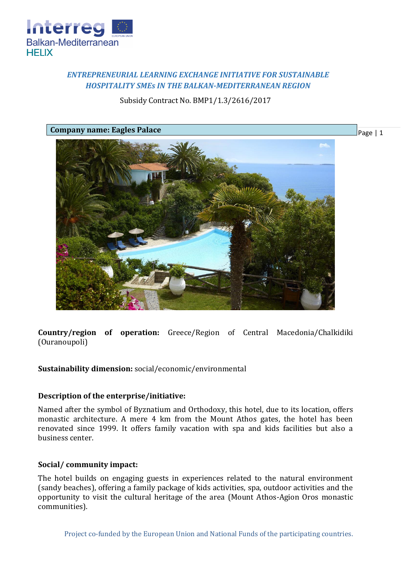

# *ENTREPRENEURIAL LEARNING EXCHANGE INITIATIVE FOR SUSTAINABLE HOSPITALITY SMEs IN THE BALKAN-MEDITERRANEAN REGION*

## Subsidy Contract No. BMP1/1.3/2616/2017



**Country/region of operation:** Greece/Region of Central Macedonia/Chalkidiki (Ouranoupoli)

## **Sustainability dimension:** social/economic/environmental

## **Description of the enterprise/initiative:**

Named after the symbol of Byznatium and Orthodoxy, this hotel, due to its location, offers monastic architecture. A mere 4 km from the Mount Athos gates, the hotel has been renovated since 1999. It offers family vacation with spa and kids facilities but also a business center.

## **Social/ community impact:**

The hotel builds on engaging guests in experiences related to the natural environment (sandy beaches), offering a family package of kids activities, spa, outdoor activities and the opportunity to visit the cultural heritage of the area (Mount Athos-Agion Oros monastic communities).